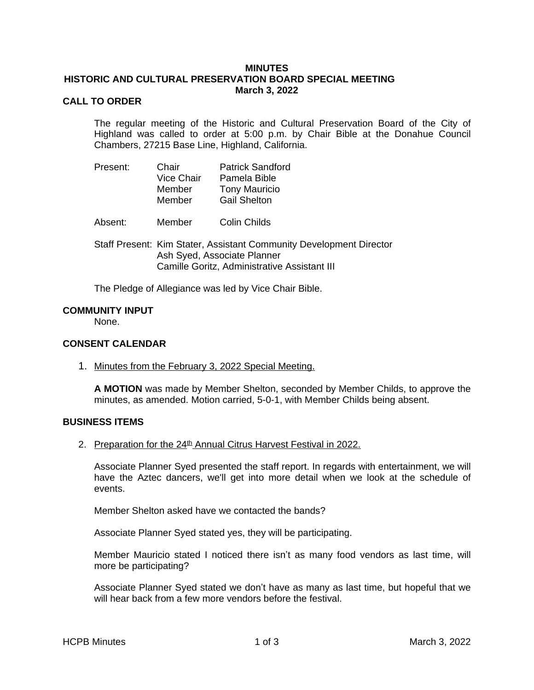### **MINUTES HISTORIC AND CULTURAL PRESERVATION BOARD SPECIAL MEETING March 3, 2022**

# **CALL TO ORDER**

The regular meeting of the Historic and Cultural Preservation Board of the City of Highland was called to order at 5:00 p.m. by Chair Bible at the Donahue Council Chambers, 27215 Base Line, Highland, California.

| Present: | Chair             | <b>Patrick Sandford</b> |
|----------|-------------------|-------------------------|
|          | <b>Vice Chair</b> | Pamela Bible            |
|          | Member            | <b>Tony Mauricio</b>    |
|          | Member            | <b>Gail Shelton</b>     |

Absent: Member Colin Childs

Staff Present: Kim Stater, Assistant Community Development Director Ash Syed, Associate Planner Camille Goritz, Administrative Assistant III

The Pledge of Allegiance was led by Vice Chair Bible.

#### **COMMUNITY INPUT**

None.

#### **CONSENT CALENDAR**

1. Minutes from the February 3, 2022 Special Meeting.

**A MOTION** was made by Member Shelton, seconded by Member Childs, to approve the minutes, as amended. Motion carried, 5-0-1, with Member Childs being absent.

## **BUSINESS ITEMS**

2. Preparation for the 24<sup>th</sup> Annual Citrus Harvest Festival in 2022.

Associate Planner Syed presented the staff report. In regards with entertainment, we will have the Aztec dancers, we'll get into more detail when we look at the schedule of events.

Member Shelton asked have we contacted the bands?

Associate Planner Syed stated yes, they will be participating.

Member Mauricio stated I noticed there isn't as many food vendors as last time, will more be participating?

Associate Planner Syed stated we don't have as many as last time, but hopeful that we will hear back from a few more vendors before the festival.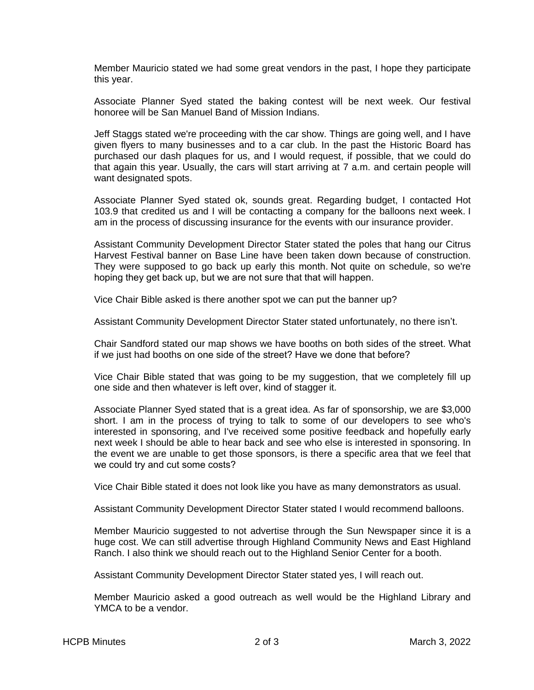Member Mauricio stated we had some great vendors in the past, I hope they participate this year.

Associate Planner Syed stated the baking contest will be next week. Our festival honoree will be San Manuel Band of Mission Indians.

Jeff Staggs stated we're proceeding with the car show. Things are going well, and I have given flyers to many businesses and to a car club. In the past the Historic Board has purchased our dash plaques for us, and I would request, if possible, that we could do that again this year. Usually, the cars will start arriving at 7 a.m. and certain people will want designated spots.

Associate Planner Syed stated ok, sounds great. Regarding budget, I contacted Hot 103.9 that credited us and I will be contacting a company for the balloons next week. I am in the process of discussing insurance for the events with our insurance provider.

Assistant Community Development Director Stater stated the poles that hang our Citrus Harvest Festival banner on Base Line have been taken down because of construction. They were supposed to go back up early this month. Not quite on schedule, so we're hoping they get back up, but we are not sure that that will happen.

Vice Chair Bible asked is there another spot we can put the banner up?

Assistant Community Development Director Stater stated unfortunately, no there isn't.

Chair Sandford stated our map shows we have booths on both sides of the street. What if we just had booths on one side of the street? Have we done that before?

Vice Chair Bible stated that was going to be my suggestion, that we completely fill up one side and then whatever is left over, kind of stagger it.

Associate Planner Syed stated that is a great idea. As far of sponsorship, we are \$3,000 short. I am in the process of trying to talk to some of our developers to see who's interested in sponsoring, and I've received some positive feedback and hopefully early next week I should be able to hear back and see who else is interested in sponsoring. In the event we are unable to get those sponsors, is there a specific area that we feel that we could try and cut some costs?

Vice Chair Bible stated it does not look like you have as many demonstrators as usual.

Assistant Community Development Director Stater stated I would recommend balloons.

Member Mauricio suggested to not advertise through the Sun Newspaper since it is a huge cost. We can still advertise through Highland Community News and East Highland Ranch. I also think we should reach out to the Highland Senior Center for a booth.

Assistant Community Development Director Stater stated yes, I will reach out.

Member Mauricio asked a good outreach as well would be the Highland Library and YMCA to be a vendor.